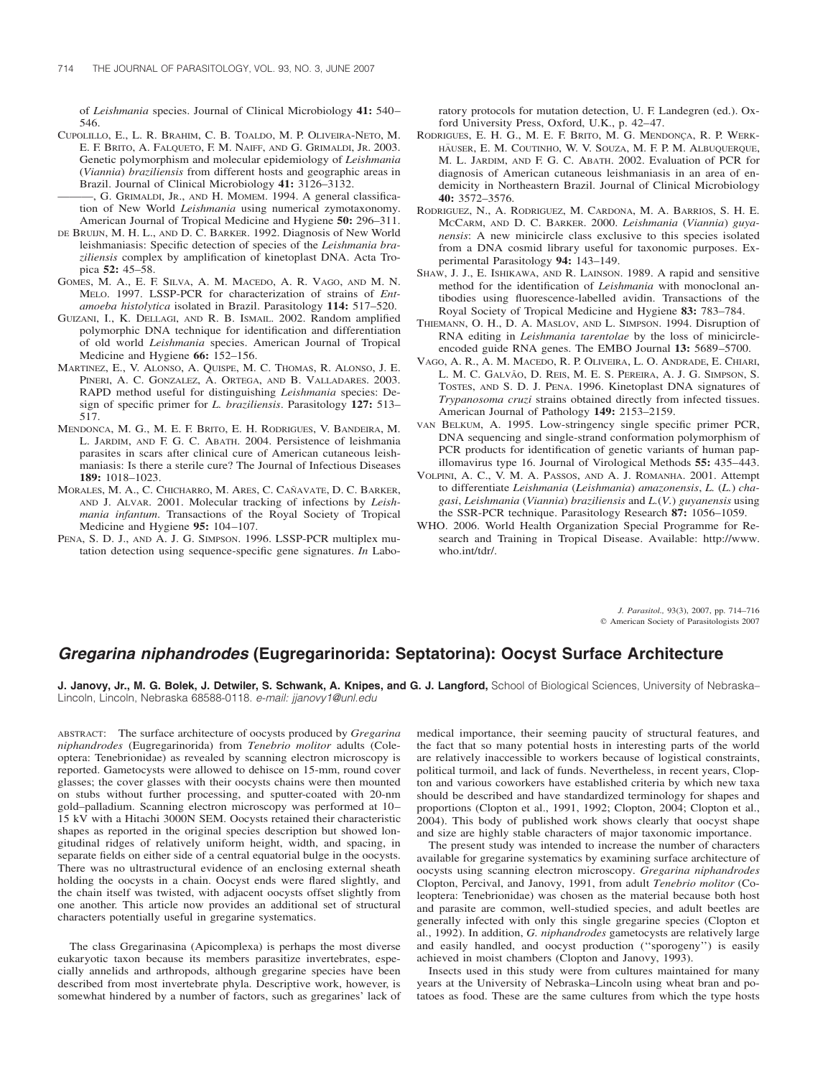of *Leishmania* species. Journal of Clinical Microbiology **41:** 540– 546.

- CUPOLILLO, E., L. R. BRAHIM, C. B. TOALDO, M. P. OLIVEIRA-NETO, M. E. F. BRITO, A. FALQUETO, F. M. NAIFF, AND G. GRIMALDI, JR. 2003. Genetic polymorphism and molecular epidemiology of *Leishmania* (*Viannia*) *braziliensis* from different hosts and geographic areas in Brazil. Journal of Clinical Microbiology **41:** 3126–3132.
- -, G. GRIMALDI, JR., AND H. MOMEM. 1994. A general classification of New World *Leishmania* using numerical zymotaxonomy. American Journal of Tropical Medicine and Hygiene **50:** 296–311.
- DE BRUIJN, M. H. L., AND D. C. BARKER. 1992. Diagnosis of New World leishmaniasis: Specific detection of species of the *Leishmania braziliensis* complex by amplification of kinetoplast DNA. Acta Tropica **52:** 45–58.
- GOMES, M. A., E. F. SILVA, A. M. MACEDO, A. R. VAGO, AND M. N. MELO. 1997. LSSP-PCR for characterization of strains of *Entamoeba histolytica* isolated in Brazil. Parasitology **114:** 517–520.
- GUIZANI, I., K. DELLAGI, AND R. B. ISMAIL. 2002. Random amplified polymorphic DNA technique for identification and differentiation of old world *Leishmania* species. American Journal of Tropical Medicine and Hygiene **66:** 152–156.
- MARTINEZ, E., V. ALONSO, A. QUISPE, M. C. THOMAS, R. ALONSO, J. E. PINERI, A. C. GONZALEZ, A. ORTEGA, AND B. VALLADARES. 2003. RAPD method useful for distinguishing *Leishmania* species: Design of specific primer for *L. braziliensis*. Parasitology **127:** 513– 517.
- MENDONCA, M. G., M. E. F. BRITO, E. H. RODRIGUES, V. BANDEIRA, M. L. JARDIM, AND F. G. C. ABATH. 2004. Persistence of leishmania parasites in scars after clinical cure of American cutaneous leishmaniasis: Is there a sterile cure? The Journal of Infectious Diseases **189:** 1018–1023.
- MORALES, M. A., C. CHICHARRO, M. ARES, C. CAÑAVATE, D. C. BARKER, AND J. ALVAR. 2001. Molecular tracking of infections by *Leishmania infantum*. Transactions of the Royal Society of Tropical Medicine and Hygiene **95:** 104–107.
- PENA, S. D. J., AND A. J. G. SIMPSON. 1996. LSSP-PCR multiplex mutation detection using sequence-specific gene signatures. *In* Labo-

ratory protocols for mutation detection, U. F. Landegren (ed.). Oxford University Press, Oxford, U.K., p. 42–47.

- RODRIGUES, E. H. G., M. E. F. BRITO, M. G. MENDONÇA, R. P. WERK-HÄUSER, E. M. COUTINHO, W. V. SOUZA, M. F. P. M. ALBUQUERQUE, M. L. JARDIM, AND F. G. C. ABATH. 2002. Evaluation of PCR for diagnosis of American cutaneous leishmaniasis in an area of endemicity in Northeastern Brazil. Journal of Clinical Microbiology **40:** 3572–3576.
- RODRIGUEZ, N., A. RODRIGUEZ, M. CARDONA, M. A. BARRIOS, S. H. E. MCCARM, AND D. C. BARKER. 2000. *Leishmania* (*Viannia*) *guyanensis*: A new minicircle class exclusive to this species isolated from a DNA cosmid library useful for taxonomic purposes. Experimental Parasitology **94:** 143–149.
- SHAW, J. J., E. ISHIKAWA, AND R. LAINSON. 1989. A rapid and sensitive method for the identification of *Leishmania* with monoclonal antibodies using fluorescence-labelled avidin. Transactions of the Royal Society of Tropical Medicine and Hygiene **83:** 783–784.
- THIEMANN, O. H., D. A. MASLOV, AND L. SIMPSON. 1994. Disruption of RNA editing in *Leishmania tarentolae* by the loss of minicircleencoded guide RNA genes. The EMBO Journal **13:** 5689–5700.
- VAGO, A. R., A. M. MACEDO, R. P. OLIVEIRA, L. O. ANDRADE, E. CHIARI, L. M. C. GALVÃO, D. REIS, M. E. S. PEREIRA, A. J. G. SIMPSON, S. TOSTES, AND S. D. J. PENA. 1996. Kinetoplast DNA signatures of *Trypanosoma cruzi* strains obtained directly from infected tissues. American Journal of Pathology **149:** 2153–2159.
- VAN BELKUM, A. 1995. Low-stringency single specific primer PCR, DNA sequencing and single-strand conformation polymorphism of PCR products for identification of genetic variants of human papillomavirus type 16. Journal of Virological Methods **55:** 435–443.
- VOLPINI, A. C., V. M. A. PASSOS, AND A. J. ROMANHA. 2001. Attempt to differentiate *Leishmania* (*Leishmania*) *amazonensis*, *L.* (*L.*) *chagasi*, *Leishmania* (*Viannia*) *braziliensis* and *L.*(*V.*) *guyanensis* using the SSR-PCR technique. Parasitology Research **87:** 1056–1059.
- WHO. 2006. World Health Organization Special Programme for Research and Training in Tropical Disease. Available: http://www. who.int/tdr/.

*J. Parasitol.,* 93(3), 2007, pp. 714–716  $©$  American Society of Parasitologists 2007

## *Gregarina niphandrodes* **(Eugregarinorida: Septatorina): Oocyst Surface Architecture**

**J. Janovy, Jr., M. G. Bolek, J. Detwiler, S. Schwank, A. Knipes, and G. J. Langford,** School of Biological Sciences, University of Nebraska– Lincoln, Lincoln, Nebraska 68588-0118. *e-mail: jjanovy1@unl.edu*

ABSTRACT: The surface architecture of oocysts produced by *Gregarina niphandrodes* (Eugregarinorida) from *Tenebrio molitor* adults (Coleoptera: Tenebrionidae) as revealed by scanning electron microscopy is reported. Gametocysts were allowed to dehisce on 15-mm, round cover glasses; the cover glasses with their oocysts chains were then mounted on stubs without further processing, and sputter-coated with 20-nm gold–palladium. Scanning electron microscopy was performed at 10– 15 kV with a Hitachi 3000N SEM. Oocysts retained their characteristic shapes as reported in the original species description but showed longitudinal ridges of relatively uniform height, width, and spacing, in separate fields on either side of a central equatorial bulge in the oocysts. There was no ultrastructural evidence of an enclosing external sheath holding the oocysts in a chain. Oocyst ends were flared slightly, and the chain itself was twisted, with adjacent oocysts offset slightly from one another. This article now provides an additional set of structural characters potentially useful in gregarine systematics.

The class Gregarinasina (Apicomplexa) is perhaps the most diverse eukaryotic taxon because its members parasitize invertebrates, especially annelids and arthropods, although gregarine species have been described from most invertebrate phyla. Descriptive work, however, is somewhat hindered by a number of factors, such as gregarines' lack of medical importance, their seeming paucity of structural features, and the fact that so many potential hosts in interesting parts of the world are relatively inaccessible to workers because of logistical constraints, political turmoil, and lack of funds. Nevertheless, in recent years, Clopton and various coworkers have established criteria by which new taxa should be described and have standardized terminology for shapes and proportions (Clopton et al., 1991, 1992; Clopton, 2004; Clopton et al., 2004). This body of published work shows clearly that oocyst shape and size are highly stable characters of major taxonomic importance.

The present study was intended to increase the number of characters available for gregarine systematics by examining surface architecture of oocysts using scanning electron microscopy. *Gregarina niphandrodes* Clopton, Percival, and Janovy, 1991, from adult *Tenebrio molitor* (Coleoptera: Tenebrionidae) was chosen as the material because both host and parasite are common, well-studied species, and adult beetles are generally infected with only this single gregarine species (Clopton et al., 1992). In addition, *G. niphandrodes* gametocysts are relatively large and easily handled, and oocyst production (''sporogeny'') is easily achieved in moist chambers (Clopton and Janovy, 1993).

Insects used in this study were from cultures maintained for many years at the University of Nebraska–Lincoln using wheat bran and potatoes as food. These are the same cultures from which the type hosts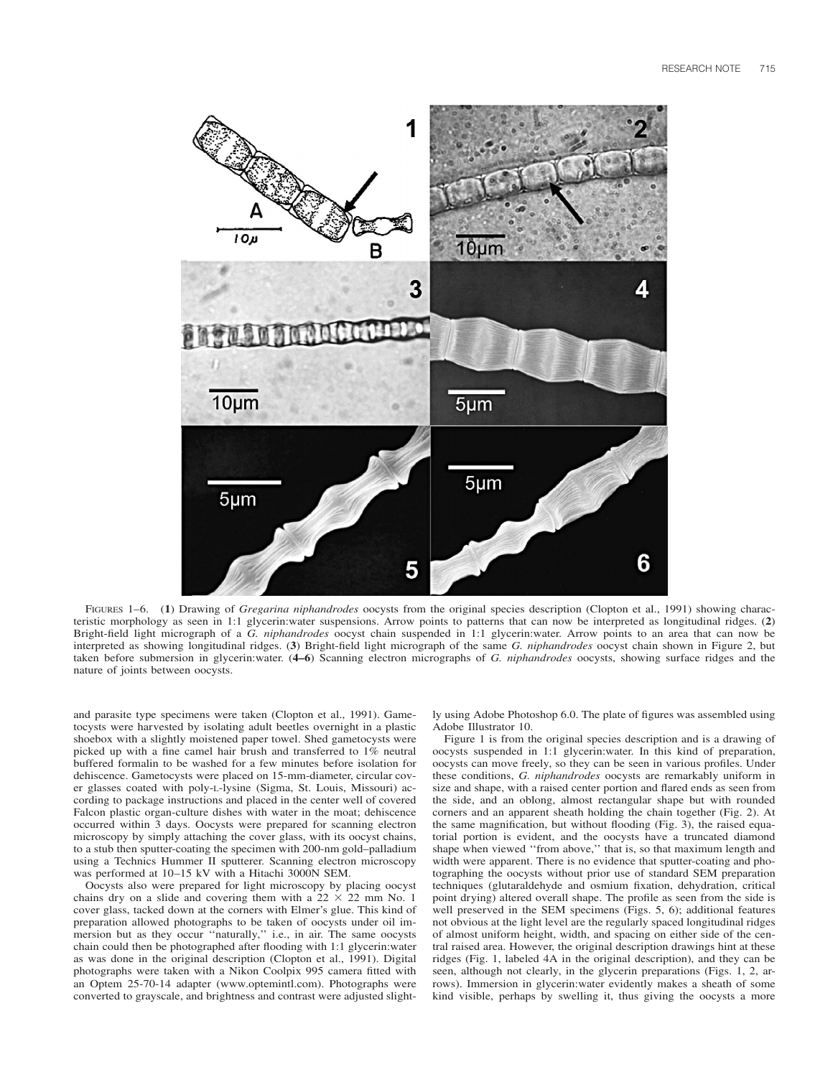

FIGURES 1–6. (**1**) Drawing of *Gregarina niphandrodes* oocysts from the original species description (Clopton et al., 1991) showing characteristic morphology as seen in 1:1 glycerin:water suspensions. Arrow points to patterns that can now be interpreted as longitudinal ridges. (**2**) Bright-field light micrograph of a *G. niphandrodes* oocyst chain suspended in 1:1 glycerin:water. Arrow points to an area that can now be interpreted as showing longitudinal ridges. (**3**) Bright-field light micrograph of the same *G. niphandrodes* oocyst chain shown in Figure 2, but taken before submersion in glycerin:water. (**4–6**) Scanning electron micrographs of *G. niphandrodes* oocysts, showing surface ridges and the nature of joints between oocysts.

and parasite type specimens were taken (Clopton et al., 1991). Gametocysts were harvested by isolating adult beetles overnight in a plastic shoebox with a slightly moistened paper towel. Shed gametocysts were picked up with a fine camel hair brush and transferred to 1% neutral buffered formalin to be washed for a few minutes before isolation for dehiscence. Gametocysts were placed on 15-mm-diameter, circular cover glasses coated with poly-L-lysine (Sigma, St. Louis, Missouri) according to package instructions and placed in the center well of covered Falcon plastic organ-culture dishes with water in the moat; dehiscence occurred within 3 days. Oocysts were prepared for scanning electron microscopy by simply attaching the cover glass, with its oocyst chains, to a stub then sputter-coating the specimen with 200-nm gold–palladium using a Technics Hummer II sputterer. Scanning electron microscopy was performed at 10–15 kV with a Hitachi 3000N SEM.

Oocysts also were prepared for light microscopy by placing oocyst chains dry on a slide and covering them with a  $22 \times 22$  mm No. 1 cover glass, tacked down at the corners with Elmer's glue. This kind of preparation allowed photographs to be taken of oocysts under oil immersion but as they occur ''naturally,'' i.e., in air. The same oocysts chain could then be photographed after flooding with 1:1 glycerin:water as was done in the original description (Clopton et al., 1991). Digital photographs were taken with a Nikon Coolpix 995 camera fitted with an Optem 25-70-14 adapter (www.optemintl.com). Photographs were converted to grayscale, and brightness and contrast were adjusted slightly using Adobe Photoshop 6.0. The plate of figures was assembled using Adobe Illustrator 10.

Figure 1 is from the original species description and is a drawing of oocysts suspended in 1:1 glycerin:water. In this kind of preparation, oocysts can move freely, so they can be seen in various profiles. Under these conditions, *G. niphandrodes* oocysts are remarkably uniform in size and shape, with a raised center portion and flared ends as seen from the side, and an oblong, almost rectangular shape but with rounded corners and an apparent sheath holding the chain together (Fig. 2). At the same magnification, but without flooding (Fig. 3), the raised equatorial portion is evident, and the oocysts have a truncated diamond shape when viewed ''from above,'' that is, so that maximum length and width were apparent. There is no evidence that sputter-coating and photographing the oocysts without prior use of standard SEM preparation techniques (glutaraldehyde and osmium fixation, dehydration, critical point drying) altered overall shape. The profile as seen from the side is well preserved in the SEM specimens (Figs. 5, 6); additional features not obvious at the light level are the regularly spaced longitudinal ridges of almost uniform height, width, and spacing on either side of the central raised area. However, the original description drawings hint at these ridges (Fig. 1, labeled 4A in the original description), and they can be seen, although not clearly, in the glycerin preparations (Figs. 1, 2, arrows). Immersion in glycerin:water evidently makes a sheath of some kind visible, perhaps by swelling it, thus giving the oocysts a more